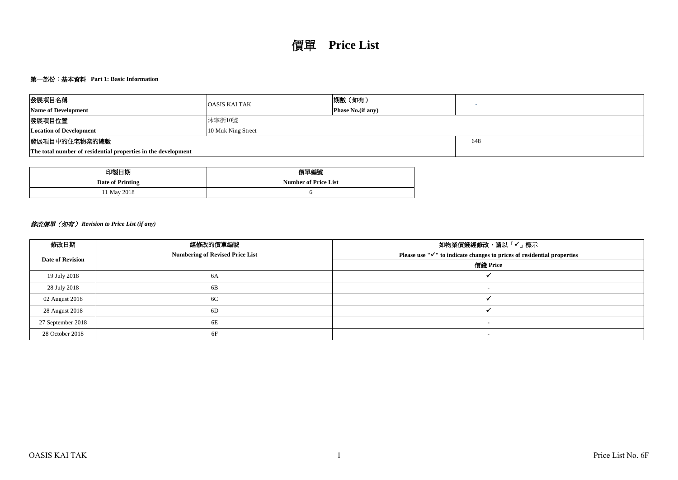### 第一部份:基本資料 **Part 1: Basic Information**

| 發展項目名稱                                                        | <b>OASIS KAI TAK</b> | 期數 (如有)                   |  |  |  |  |  |  |
|---------------------------------------------------------------|----------------------|---------------------------|--|--|--|--|--|--|
| <b>Name of Development</b>                                    |                      | <b>Phase No.</b> (if any) |  |  |  |  |  |  |
| 發展項目位置<br>沐寧街10號                                              |                      |                           |  |  |  |  |  |  |
| 10 Muk Ning Street<br><b>Location of Development</b>          |                      |                           |  |  |  |  |  |  |
| 發展項目中的住宅物業的總數<br>648                                          |                      |                           |  |  |  |  |  |  |
| The total number of residential properties in the development |                      |                           |  |  |  |  |  |  |

| 印製日期             | 價單編號                        |
|------------------|-----------------------------|
| Date of Printing | <b>Number of Price List</b> |
| 11 May 2018      |                             |

## 修改價單(如有) *Revision to Price List (if any)*

| 修改日期                    | 經修改的價單編號                               | 如物業價錢經修改,請以「✔」標示                                                       |
|-------------------------|----------------------------------------|------------------------------------------------------------------------|
| <b>Date of Revision</b> | <b>Numbering of Revised Price List</b> | Please use "√" to indicate changes to prices of residential properties |
|                         |                                        | 價錢 Price                                                               |
| 19 July 2018            | 6A                                     |                                                                        |
| 28 July 2018            | 6B                                     |                                                                        |
| 02 August 2018          | 6C                                     |                                                                        |
| 28 August 2018          | 6D                                     |                                                                        |
| 27 September 2018       | 6E                                     | -                                                                      |
| 28 October 2018         | 6F                                     |                                                                        |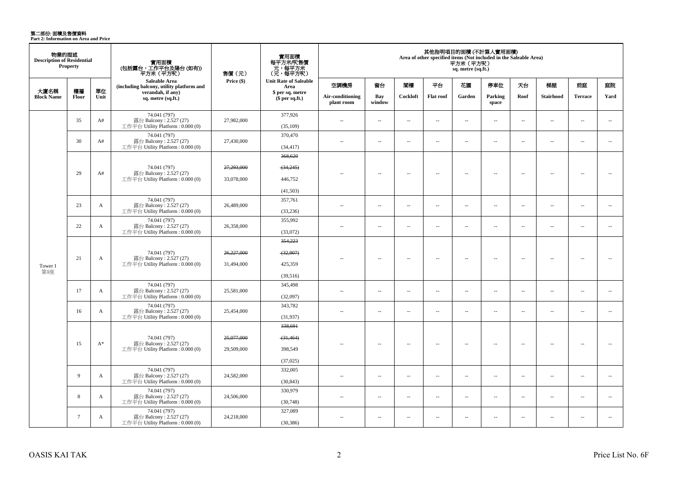**第二部份: 面積及售價資料**<br>Part 2: Information on Area and Price

| 物業的描述<br><b>Description of Residential</b> | Property        |            | 實用面積<br>(包括露台,工作平台及陽台 (如有))<br>平方米(平方呎)                                     | 售價 (元)     | 實用面積<br>每平方米/呎售價<br>元,每平方米<br>(元,每平方呎) |                                |                          |          |                          | 平方米 (平方呎)<br>sq. metre (sq.ft.) | 其他指明項目的面積 (不計算入實用面積)<br>Area of other specified items (Not included in the Saleable Area) |                          |                  |                          |                          |
|--------------------------------------------|-----------------|------------|-----------------------------------------------------------------------------|------------|----------------------------------------|--------------------------------|--------------------------|----------|--------------------------|---------------------------------|-------------------------------------------------------------------------------------------|--------------------------|------------------|--------------------------|--------------------------|
|                                            |                 |            | Saleable Area<br>(including balcony, utility platform and                   | Price (\$) | <b>Unit Rate of Saleable</b><br>Area   | 空調機房                           | 窗台                       | 閣樓       | 平台                       | 花園                              | 停車位                                                                                       | 天台                       | 梯屋               | 前庭                       | 庭院                       |
| 大廈名稱<br><b>Block Name</b>                  | 樓層<br>Floor     | 單位<br>Unit | verandah, if any)<br>sq. metre (sq.ft.)                                     |            | \$ per sq. metre<br>\$per sq.ft.)      | Air-conditioning<br>plant room | Bay<br>window            | Cockloft | <b>Flat</b> roof         | Garden                          | Parking<br>space                                                                          | Roof                     | <b>Stairhood</b> | <b>Terrace</b>           | Yard                     |
|                                            | 35              | A#         | 74.041 (797)<br>露台 Balcony: 2.527 (27)<br>工作平台 Utility Platform: 0.000 (0)  | 27,982,000 | 377,926<br>(35,109)                    | $\sim$                         | $\sim$                   | $\sim$   | $\sim$                   | $\sim$                          | $\sim$                                                                                    | $\sim$                   | $\sim$           | $\sim$                   | $\sim$                   |
|                                            | 30              | A#         | 74.041 (797)<br>露台 Balcony: 2.527 (27)<br>工作平台 Utility Platform: 0.000 (0)  | 27,430,000 | 370,470<br>(34, 417)                   | $\sim$                         | $\sim$                   | $\sim$   | $\sim$                   | $\sim$                          | $\sim$                                                                                    | $\sim$                   | $\sim$           | $\sim$                   | $\sim$                   |
|                                            |                 |            | 74.041 (797)                                                                | 27,293,000 | 368,620<br>(34,245)                    |                                |                          |          |                          |                                 |                                                                                           |                          |                  |                          |                          |
|                                            | 29              | A#         | 露台 Balcony: 2.527 (27)<br>工作平台 Utility Platform: 0.000 (0)                  | 33,078,000 | 446,752                                |                                | $\overline{\phantom{a}}$ | $\sim$   | $\overline{\phantom{a}}$ | $\sim$                          | $\overline{\phantom{a}}$                                                                  | $\overline{\phantom{a}}$ | $\sim$           | $\overline{\phantom{a}}$ | $\overline{\phantom{a}}$ |
|                                            |                 |            | 74.041 (797)                                                                |            | (41,503)<br>357,761                    |                                |                          |          |                          |                                 |                                                                                           |                          |                  |                          |                          |
|                                            | 23              | A          | 露台 Balcony: 2.527 (27)<br>工作平台 Utility Platform : 0.000 (0)                 | 26,489,000 | (33,236)                               | $\sim$                         | $\overline{\phantom{a}}$ | $\sim$   | μ.                       | $\overline{\phantom{a}}$        | $\overline{\phantom{a}}$                                                                  | $\sim$                   | $\sim$           | $\sim$                   | $\overline{\phantom{a}}$ |
|                                            | 22              | A          | 74.041 (797)<br>露台 Balcony: 2.527 (27)<br>工作平台 Utility Platform: 0.000 (0)  | 26,358,000 | 355,992<br>(33,072)                    | $\sim$                         | $\overline{\phantom{a}}$ | $\sim$   | $\sim$                   | $\sim$                          | $\overline{\phantom{a}}$                                                                  | $\sim$                   | $\sim$           | $\overline{a}$           | $\sim$                   |
|                                            |                 |            |                                                                             |            | 354,223                                |                                |                          |          |                          |                                 |                                                                                           |                          |                  |                          |                          |
|                                            |                 |            | 74.041 (797)                                                                | 26,227,000 | (32,907)                               |                                |                          |          |                          |                                 |                                                                                           |                          |                  |                          |                          |
| Tower 1<br>第1座                             | 21              | A          | 露台 Balcony: 2.527 (27)<br>工作平台 Utility Platform: 0.000 (0)                  | 31,494,000 | 425,359                                |                                | $\overline{\phantom{a}}$ | $\sim$   | $\overline{\phantom{a}}$ | Ξ.                              | $\overline{\phantom{a}}$                                                                  | $\overline{\phantom{a}}$ | ÷.               | $\sim$                   | ÷.                       |
|                                            |                 |            | 74.041 (797)                                                                |            | (39,516)<br>345,498                    |                                |                          |          |                          |                                 |                                                                                           |                          |                  |                          |                          |
|                                            | 17              | A          | 露台 Balcony: 2.527 (27)<br>工作平台 Utility Platform: 0.000 (0)                  | 25,581,000 | (32,097)                               | $\sim$                         | $\sim$                   | $\sim$   | $\sim$                   | $\overline{\phantom{a}}$        | $\sim$                                                                                    | $\overline{\phantom{a}}$ | $\sim$           | $\overline{\phantom{a}}$ | $\overline{\phantom{a}}$ |
|                                            | 16              | A          | 74.041 (797)<br>露台 Balcony: 2.527 (27)<br>工作平台 Utility Platform: 0.000 (0)  | 25,454,000 | 343,782<br>(31, 937)                   | $\sim$                         | $\sim$                   | $\sim$   | μ.                       | $\overline{\phantom{a}}$        | $\sim$                                                                                    | $\overline{\phantom{a}}$ | $\sim$           | $\overline{\phantom{a}}$ | $\overline{\phantom{a}}$ |
|                                            |                 |            |                                                                             |            | 338,691                                |                                |                          |          |                          |                                 |                                                                                           |                          |                  |                          |                          |
|                                            |                 |            | 74.041 (797)                                                                | 25,077,000 | (31, 464)                              |                                |                          |          |                          |                                 |                                                                                           |                          |                  |                          |                          |
|                                            | 15              | $A^*$      | 露台 Balcony: 2.527 (27)<br>工作平台 Utility Platform: 0.000 (0)                  | 29,509,000 | 398,549                                | $\overline{a}$                 | $\sim$                   | $\sim$   | $\sim$                   | $\sim$                          | $\sim$                                                                                    | $\overline{\phantom{a}}$ | $\sim$           | $\overline{\phantom{a}}$ | $\sim$                   |
|                                            |                 |            |                                                                             |            | (37,025)                               |                                |                          |          |                          |                                 |                                                                                           |                          |                  |                          |                          |
|                                            | 9               | A          | 74.041 (797)<br>露台 Balcony: 2.527 (27)                                      | 24,582,000 | 332,005                                | $\sim$                         | $\sim$                   | $\sim$   | $\sim$                   | $\sim$                          | $\sim$                                                                                    | $\overline{\phantom{a}}$ | $\sim$           | $\overline{a}$           | $\sim$                   |
|                                            |                 |            | 工作平台 Utility Platform : 0.000 (0)<br>74.041 (797)                           |            | (30, 843)<br>330,979                   |                                |                          |          |                          |                                 |                                                                                           |                          |                  |                          |                          |
|                                            | 8               | A          | 露台 Balcony: 2.527 (27)<br>工作平台 Utility Platform: 0.000 (0)                  | 24,506,000 | (30,748)                               | $\sim$                         | $\sim$                   | $\sim$   | $\sim$                   | $\overline{\phantom{a}}$        | $\sim$                                                                                    | $\overline{\phantom{a}}$ | $\sim$           | $\overline{a}$           | $\overline{\phantom{a}}$ |
|                                            | $7\phantom{.0}$ | A          | 74.041 (797)<br>露台 Balcony: 2.527 (27)<br>工作平台 Utility Platform : 0.000 (0) | 24,218,000 | 327,089<br>(30, 386)                   | $\overline{a}$                 | $\sim$                   | $\sim$   | $\overline{\phantom{a}}$ | $\overline{\phantom{a}}$        | $\sim$                                                                                    | $\sim$                   | ÷.               | $\sim$                   | $\overline{\phantom{a}}$ |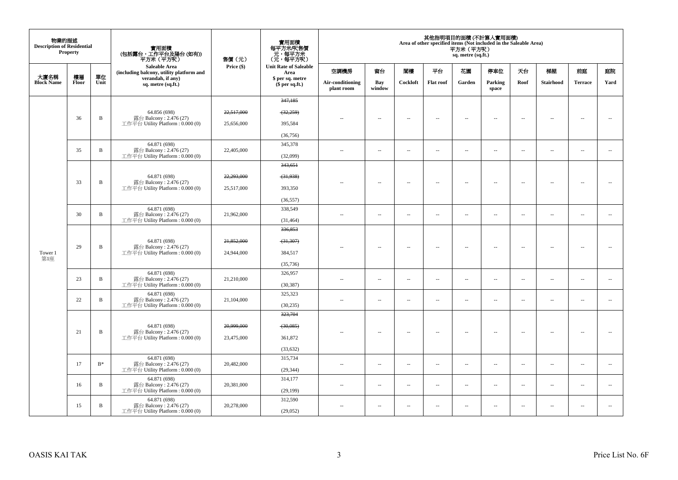| 物業的描述<br><b>Description of Residential</b> | <b>Property</b> |                                  | 實用面積<br>(包括露台,工作平台及陽台 (如有))<br>平方米(平方呎)                                      | 售價(元)      | 實用面積<br>每平方米/呎售價<br>一元,每平方米<br>(元,每平方呎) |                                |                          |                          |                          | 平方米 (平方呎)<br>sq. metre (sq.ft.) | 其他指明項目的面積 (不計算入實用面積)<br>Area of other specified items (Not included in the Saleable Area) |                          |                          |                          |                          |
|--------------------------------------------|-----------------|----------------------------------|------------------------------------------------------------------------------|------------|-----------------------------------------|--------------------------------|--------------------------|--------------------------|--------------------------|---------------------------------|-------------------------------------------------------------------------------------------|--------------------------|--------------------------|--------------------------|--------------------------|
|                                            |                 |                                  | Saleable Area<br>(including balcony, utility platform and                    | Price (\$) | <b>Unit Rate of Saleable</b><br>Area    | 空調機房                           | 窗台                       | 閣樓                       | 平台                       | 花園                              | 停車位                                                                                       | 天台                       | 梯屋                       | 前庭                       | 庭院                       |
| 大廈名稱<br><b>Block Name</b>                  | 樓層<br>Floor     | 單位<br>Unit                       | verandah, if any)<br>sq. metre (sq.ft.)                                      |            | \$ per sq. metre<br>\$per sq.ft.)       | Air-conditioning<br>plant room | Bay<br>window            | Cockloft                 | <b>Flat roof</b>         | Garden                          | Parking<br>space                                                                          | Roof                     | Stairhood                | <b>Terrace</b>           | Yard                     |
|                                            |                 |                                  |                                                                              |            | 347,185                                 |                                |                          |                          |                          |                                 |                                                                                           |                          |                          |                          |                          |
|                                            |                 |                                  | 64.856 (698)                                                                 | 22,517,000 | (32, 259)                               |                                |                          |                          |                          |                                 |                                                                                           |                          |                          |                          |                          |
|                                            | 36              | B                                | 露台 Balcony: 2.476 (27)<br>工作平台 Utility Platform: 0.000 (0)                   | 25,656,000 | 395,584                                 |                                | $\sim$                   | $\sim$                   | $\sim$                   | $\overline{\phantom{a}}$        | $\sim$                                                                                    | $\sim$                   | $\sim$                   | $\sim$                   | $\sim$                   |
|                                            |                 |                                  |                                                                              |            | (36, 756)                               |                                |                          |                          |                          |                                 |                                                                                           |                          |                          |                          |                          |
|                                            | 35              | B                                | 64.871 (698)<br>露台 Balcony: 2.476 (27)                                       | 22,405,000 | 345,378                                 |                                | $\overline{\phantom{a}}$ | $\sim$                   | $\overline{\phantom{a}}$ | $\overline{\phantom{a}}$        | $\overline{\phantom{a}}$                                                                  | $\overline{\phantom{a}}$ | $\overline{\phantom{a}}$ | $\overline{\phantom{a}}$ | $\overline{\phantom{a}}$ |
|                                            |                 |                                  | 工作平台 Utility Platform: 0.000 (0)                                             |            | (32,099)                                | $\sim$ $\sim$                  |                          |                          |                          |                                 |                                                                                           |                          |                          |                          |                          |
|                                            |                 |                                  |                                                                              |            | 343,651                                 |                                |                          |                          |                          |                                 |                                                                                           |                          |                          |                          |                          |
|                                            | 33              | $\, {\bf B}$                     | 64.871 (698)<br>露台 Balcony: 2.476 (27)                                       | 22,293,000 | (31,938)                                |                                | $\sim$                   | $\sim$                   | $\sim$                   | $\overline{\phantom{a}}$        | $\sim$                                                                                    | $\overline{\phantom{a}}$ | $\sim$                   | $\sim$                   | ÷.                       |
|                                            |                 |                                  | 工作平台 Utility Platform : $0.000(0)$                                           | 25,517,000 | 393,350                                 |                                |                          |                          |                          |                                 |                                                                                           |                          |                          |                          |                          |
|                                            |                 |                                  |                                                                              |            | (36, 557)                               |                                |                          |                          |                          |                                 |                                                                                           |                          |                          |                          |                          |
|                                            | 30              | B                                | 64.871 (698)<br>露台 Balcony: 2.476 (27)<br>工作平台 Utility Platform : $0.000(0)$ | 21,962,000 | 338,549                                 | $\overline{\phantom{m}}$       | $\sim$                   | $\overline{\phantom{a}}$ | $\overline{\phantom{a}}$ | $\overline{\phantom{a}}$        | $\sim$                                                                                    | $\overline{\phantom{a}}$ | $\sim$                   | $\sim$                   | $\overline{\phantom{a}}$ |
|                                            |                 |                                  |                                                                              |            | (31, 464)                               |                                |                          |                          |                          |                                 |                                                                                           |                          |                          |                          |                          |
|                                            |                 |                                  |                                                                              |            | 336,853                                 |                                |                          |                          |                          |                                 |                                                                                           |                          |                          |                          |                          |
|                                            | 29              | $\, {\bf B}$                     | 64.871 (698)<br>露台 Balcony: 2.476 (27)                                       | 21,852,000 | (31, 307)                               |                                | $\overline{\phantom{a}}$ |                          | $\sim$                   | Ξ.                              | $\sim$                                                                                    | ÷.                       | $\overline{\phantom{a}}$ |                          |                          |
| Tower 1<br>第1座                             |                 |                                  | 工作平台 Utility Platform: 0.000 (0)                                             | 24,944,000 | 384,517                                 |                                |                          |                          |                          |                                 |                                                                                           |                          |                          |                          |                          |
|                                            |                 |                                  |                                                                              |            | (35, 736)                               |                                |                          |                          |                          |                                 |                                                                                           |                          |                          |                          |                          |
|                                            | 23              | B                                | 64.871 (698)<br>露台 Balcony: 2.476 (27)                                       | 21,210,000 | 326,957                                 | $\overline{a}$                 | $\overline{\phantom{a}}$ | $\overline{\phantom{a}}$ | $\sim$                   | $\overline{\phantom{a}}$        | $\sim$                                                                                    | $\hspace{0.05cm} -$      | $\overline{\phantom{a}}$ | $\sim$                   | $\sim$                   |
|                                            |                 |                                  | 工作平台 Utility Platform: 0.000 (0)                                             |            | (30, 387)                               |                                |                          |                          |                          |                                 |                                                                                           |                          |                          |                          |                          |
|                                            | 22              | $\, {\bf B}$                     | 64.871 (698)<br>露台 Balcony: 2.476 (27)                                       | 21,104,000 | 325,323                                 | $\overline{a}$                 | $\overline{a}$           | $\sim$                   | $\sim$                   | $\sim$                          | $\sim$                                                                                    | $\overline{\phantom{a}}$ | $\sim$                   | $\sim$                   | $\sim$                   |
|                                            |                 |                                  | 工作平台 Utility Platform: 0.000 (0)                                             |            | (30, 235)<br>323,704                    |                                |                          |                          |                          |                                 |                                                                                           |                          |                          |                          |                          |
|                                            |                 |                                  |                                                                              |            |                                         |                                |                          |                          |                          |                                 |                                                                                           |                          |                          |                          |                          |
|                                            | 21              | $\, {\bf B}$                     | 64.871 (698)<br>露台 Balcony: 2.476 (27)                                       | 20,999,000 | $-30,085$                               | $\overline{a}$                 | $\sim$                   | $\sim$                   | $\sim$                   | $\sim$                          | $\sim$                                                                                    | $\overline{\phantom{a}}$ | $\sim$                   | $\sim$                   | $\sim$                   |
|                                            |                 | 工作平台 Utility Platform: 0.000 (0) | 23,475,000                                                                   | 361,872    |                                         |                                |                          |                          |                          |                                 |                                                                                           |                          |                          |                          |                          |
|                                            |                 |                                  |                                                                              |            | (33, 632)                               |                                |                          |                          |                          |                                 |                                                                                           |                          |                          |                          |                          |
|                                            | 17              | $B*$                             | 64.871 (698)<br>露台 Balcony: 2.476 (27)                                       | 20,482,000 | 315,734                                 | $\sim$ $\sim$                  | $\sim$                   | $\overline{\phantom{a}}$ | $\sim$                   | $\overline{\phantom{a}}$        | $\sim$                                                                                    | $\overline{\phantom{a}}$ | $\overline{\phantom{a}}$ | $\sim$                   | $\overline{\phantom{a}}$ |
|                                            |                 |                                  | 工作平台 Utility Platform : 0.000 (0)<br>64.871 (698)                            |            | (29, 344)<br>314,177                    |                                |                          |                          |                          |                                 |                                                                                           |                          |                          |                          |                          |
|                                            | 16              | $\, {\bf B} \,$                  | 露台 Balcony: 2.476 (27)                                                       | 20,381,000 |                                         | $\overline{a}$                 | $\sim$                   | $\sim$                   | $\sim$                   | $\overline{a}$                  | $\overline{\phantom{a}}$                                                                  | $\overline{\phantom{a}}$ | $\sim$                   | $\sim$                   | $\sim$                   |
|                                            |                 |                                  | 工作平台 Utility Platform: 0.000 (0)<br>64.871 (698)                             |            | (29, 199)<br>312,590                    |                                |                          |                          |                          |                                 |                                                                                           |                          |                          |                          |                          |
|                                            | 15              | B                                | 露台 Balcony: 2.476 (27)<br>工作平台 Utility Platform : 0.000 (0)                  | 20,278,000 | (29,052)                                | $\ddot{\phantom{a}}$           | $\overline{\phantom{a}}$ | ÷.                       | $\sim$                   | μ.                              | $\sim$                                                                                    | $\overline{\phantom{a}}$ | $\overline{\phantom{a}}$ | $\sim$                   | $\overline{\phantom{a}}$ |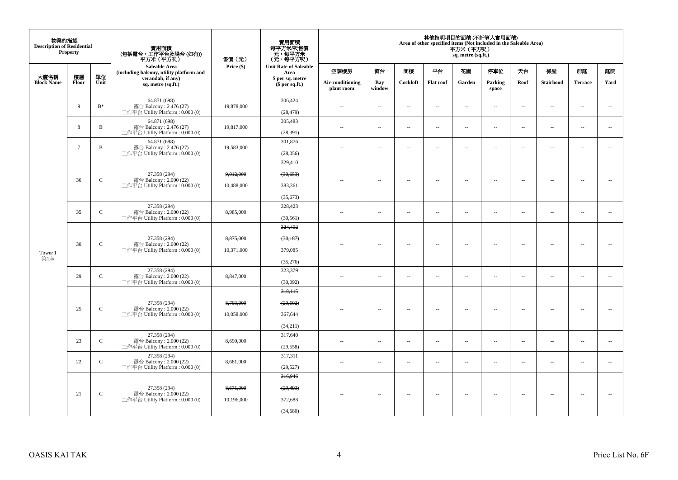| 物業的描述<br><b>Description of Residential</b> | Property        |              | 實用面積<br>(包括露台,工作平台及陽台(如有))<br>平方米(平方呎)                                       | 售價(元)                   | 實用面積<br>每平方米/呎售價<br>- 元, 每平方米<br>(元, 每平方呎)   |                                |                          |                          |                          | 平方米 (平方呎)<br>sq. metre (sq.ft.) | 其他指明項目的面積 (不計算入實用面積)<br>Area of other specified items (Not included in the Saleable Area) |                          |                          |                          |                          |
|--------------------------------------------|-----------------|--------------|------------------------------------------------------------------------------|-------------------------|----------------------------------------------|--------------------------------|--------------------------|--------------------------|--------------------------|---------------------------------|-------------------------------------------------------------------------------------------|--------------------------|--------------------------|--------------------------|--------------------------|
|                                            |                 |              | Saleable Area<br>(including balcony, utility platform and                    | Price (\$)              | <b>Unit Rate of Saleable</b><br>Area         | 空調機房                           | 窗台                       | 関樓                       | 平台                       | 花園                              | 停車位                                                                                       | 天台                       | 梯屋                       | 前庭                       | 庭院                       |
| 大廈名稱<br><b>Block Name</b>                  | 樓層<br>Floor     | 單位<br>Unit   | verandah, if any)<br>sq. metre (sq.ft.)                                      |                         | \$ per sq. metre<br>\$per sq.ft.)            | Air-conditioning<br>plant room | Bay<br>window            | Cockloft                 | <b>Flat roof</b>         | Garden                          | Parking<br>space                                                                          | Roof                     | <b>Stairhood</b>         | <b>Terrace</b>           | Yard                     |
|                                            | 9               | $B^*$        | 64.871 (698)<br>露台 Balcony: 2.476 (27)<br>工作平台 Utility Platform: 0.000 (0)   | 19,878,000              | 306,424<br>(28, 479)                         | $\overline{a}$                 | $\sim$                   | $\sim$                   | $\sim$                   | μ.                              | $\sim$                                                                                    | $\overline{\phantom{a}}$ | $\overline{\phantom{a}}$ | $\sim$                   | $\sim$                   |
|                                            | 8               | $\, {\bf B}$ | 64.871 (698)<br>露台 Balcony: 2.476 (27)<br>工作平台 Utility Platform: 0.000 (0)   | 19,817,000              | 305,483<br>(28, 391)                         | $\sim$                         | $\sim$                   | $\sim$                   | $\sim$                   | μ.                              | $\sim$                                                                                    | $\overline{\phantom{a}}$ | $\overline{\phantom{a}}$ | $\sim$                   | $\sim$                   |
|                                            | $7\phantom{.0}$ | B            | 64.871 (698)<br>露台 Balcony: 2.476 (27)<br>工作平台 Utility Platform : $0.000(0)$ | 19,583,000              | 301,876<br>(28,056)                          | $\sim$                         | $\overline{\phantom{a}}$ | $\sim$                   | $\sim$                   | $\sim$                          | $\sim$                                                                                    | $\sim$                   | $\overline{\phantom{a}}$ | $\sim$                   | $\sim$                   |
|                                            | 36              | $\mathsf{C}$ | 27.358 (294)<br>露台 Balcony: 2.000 (22)<br>工作平台 Utility Platform: 0.000 (0)   | 9,012,000<br>10,488,000 | 329,410<br>(30, 653)<br>383,361<br>(35, 673) |                                | $\sim$                   | $\sim$                   | $\overline{\phantom{a}}$ | $\overline{\phantom{a}}$        | $\sim$                                                                                    | $\overline{\phantom{a}}$ | $\sim$                   | $\sim$                   | $\sim$                   |
|                                            | 35              | $\mathsf{C}$ | 27.358 (294)<br>露台 Balcony: 2.000 (22)<br>工作平台 Utility Platform : $0.000(0)$ | 8,985,000               | 328,423<br>(30, 561)                         | $-$                            | $\sim$                   | $\overline{\phantom{a}}$ | $\overline{\phantom{a}}$ | $\overline{a}$                  | $\overline{\phantom{a}}$                                                                  | $\overline{\phantom{a}}$ | $\overline{\phantom{a}}$ | $\overline{\phantom{a}}$ | $\sim$                   |
| Tower 1<br>第1座                             | 30              | $\mathbf C$  | 27.358 (294)<br>露台 Balcony: 2.000 (22)<br>工作平台 Utility Platform : $0.000(0)$ | 8,875,000<br>10.371.000 | 324,402<br>(30, 187)<br>379,085<br>(35,276)  |                                | $\sim$                   | $\sim$                   | $\ddot{\phantom{a}}$     | $\overline{\phantom{a}}$        | $\sim$                                                                                    | $\overline{\phantom{a}}$ | $\overline{\phantom{a}}$ | $\bar{a}$                | $\sim$                   |
|                                            | 29              | $\mathsf{C}$ | 27.358 (294)<br>露台 Balcony: 2.000 (22)<br>工作平台 Utility Platform : $0.000(0)$ | 8,847,000               | 323,379<br>(30,092)                          | $\overline{\phantom{a}}$       | $\sim$                   | $\sim$                   | $\overline{\phantom{a}}$ | μ.                              | $\overline{\phantom{a}}$                                                                  | $\overline{\phantom{a}}$ | $\overline{\phantom{a}}$ | $\overline{\phantom{a}}$ | $\overline{\phantom{a}}$ |
|                                            | 25              | $\mathsf{C}$ | 27.358 (294)<br>露台 Balcony: 2.000 (22)<br>工作平台 Utility Platform : $0.000(0)$ | 8,703,000<br>10,058,000 | 318,115<br>(29, 602)<br>367,644<br>(34,211)  | ٠.                             | $\sim$                   | $\sim$                   | $\sim$                   | $\sim$                          | $\sim$                                                                                    | $\sim$                   | $\sim$                   |                          |                          |
|                                            | 23              | $\mathbf{C}$ | 27.358 (294)<br>露台 Balcony: 2.000 (22)<br>工作平台 Utility Platform: 0.000 (0)   | 8,690,000               | 317,640<br>(29, 558)                         | $\sim$ $\sim$                  | $\sim$                   | $\sim$                   | $\sim$                   | $\sim$                          | $\sim$                                                                                    | $\overline{\phantom{a}}$ | $\sim$                   | $\sim$                   | $\overline{\phantom{a}}$ |
|                                            | 22              | $\mathbf{C}$ | 27.358 (294)<br>露台 Balcony: 2.000 (22)<br>工作平台 Utility Platform: 0.000 (0)   | 8,681,000               | 317,311<br>(29, 527)                         | $\sim$                         | $\sim$                   | $\sim$                   | $\sim$                   | $\overline{\phantom{a}}$        | $\sim$                                                                                    | $\overline{\phantom{a}}$ | $\overline{\phantom{a}}$ | $\sim$                   | ÷.                       |
|                                            | 21              | $\mathsf{C}$ | 27.358 (294)<br>露台 Balcony: 2.000 (22)<br>工作平台 Utility Platform : $0.000(0)$ | 8,671,000<br>10,196,000 | 316,946<br>(29, 493)<br>372,688<br>(34,680)  | $\sim$ $\sim$                  | $\overline{\phantom{a}}$ | $\sim$                   | $\overline{\phantom{a}}$ | $\overline{\phantom{a}}$        | $\overline{\phantom{a}}$                                                                  | $\overline{\phantom{a}}$ | $\overline{\phantom{a}}$ | $\overline{\phantom{a}}$ |                          |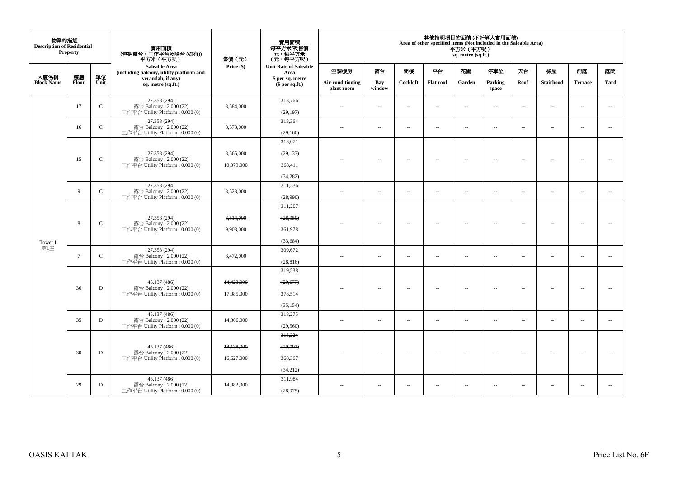| 物業的描述<br><b>Description of Residential</b> | <b>Property</b> |                                                                             | 實用面積<br>(包括露台,工作平台及陽台 (如有))<br>平方米(平方呎)                                      | 售價(元)                    | 實用面積<br>每平方米/呎售價<br>元,每平方米<br>(元,每平方呎)       |                                |                          |                          |                          | 平方米 (平方呎)<br>sq. metre (sq.ft.) | 其他指明項目的面積 (不計算入實用面積)<br>Area of other specified items (Not included in the Saleable Area) |                          |                          |                          |                          |
|--------------------------------------------|-----------------|-----------------------------------------------------------------------------|------------------------------------------------------------------------------|--------------------------|----------------------------------------------|--------------------------------|--------------------------|--------------------------|--------------------------|---------------------------------|-------------------------------------------------------------------------------------------|--------------------------|--------------------------|--------------------------|--------------------------|
|                                            |                 |                                                                             | <b>Saleable Area</b><br>(including balcony, utility platform and             | Price (\$)               | <b>Unit Rate of Saleable</b><br>Area         | 空調機房                           | 窗台                       | 関樓                       | 平台                       | 花園                              | 停車位                                                                                       | 天台                       | 梯屋                       | 前庭                       | 庭院                       |
| 大廈名稱<br><b>Block Name</b>                  | 樓層<br>Floor     | 單位<br>Unit                                                                  | verandah, if any)<br>sq. metre (sq.ft.)                                      |                          | \$ per sq. metre<br>\$per sq.ft.)            | Air-conditioning<br>plant room | Bay<br>window            | Cockloft                 | <b>Flat roof</b>         | Garden                          | Parking<br>space                                                                          | Roof                     | Stairhood                | <b>Terrace</b>           | Yard                     |
|                                            | 17              | $\mathsf C$                                                                 | 27.358 (294)<br>露台 Balcony: 2.000 (22)<br>工作平台 Utility Platform: 0.000 (0)   | 8,584,000                | 313,766<br>(29, 197)                         | $\overline{\phantom{a}}$       | $\ldots$                 | $\sim$                   | $\ldots$                 | $\ldots$                        | $\sim$                                                                                    | $\ddotsc$                | $\overline{\phantom{a}}$ | $\sim$                   | $\overline{\phantom{a}}$ |
|                                            | 16              | $\mathbf C$                                                                 | 27.358 (294)<br>露台 Balcony: 2.000 (22)<br>工作平台 Utility Platform: 0.000 (0)   | 8,573,000                | 313,364<br>(29,160)                          | $\sim$                         | $\sim$                   | $\sim$                   | $\sim$                   | $\overline{\phantom{a}}$        | $\sim$                                                                                    | $\overline{\phantom{a}}$ | $\overline{\phantom{a}}$ | $\sim$                   | $\overline{\phantom{a}}$ |
|                                            | 15              | $\mathbf C$                                                                 | 27.358 (294)<br>露台 Balcony: 2.000 (22)<br>工作平台 Utility Platform: 0.000 (0)   | 8,565,000<br>10,079,000  | 313,071<br>(29, 133)<br>368,411<br>(34, 282) | $\overline{a}$                 | $\overline{\phantom{a}}$ | $\sim$                   | $\overline{\phantom{a}}$ | $\overline{\phantom{a}}$        | $\sim$                                                                                    | $\overline{\phantom{a}}$ | $\sim$                   | $\overline{\phantom{a}}$ | $\overline{\phantom{a}}$ |
| Tower 1                                    | 9               | $\mathcal{C}$                                                               | 27.358 (294)<br>露台 Balcony: 2.000 (22)<br>工作平台 Utility Platform : 0.000 (0)  | 8,523,000                | 311,536<br>(28,990)                          | ٠.                             | μ.                       | $\overline{\phantom{a}}$ | $\overline{\phantom{a}}$ | $\overline{\phantom{a}}$        | $\overline{\phantom{a}}$                                                                  | $\overline{\phantom{a}}$ | $\overline{\phantom{a}}$ | $\overline{\phantom{a}}$ | $\overline{\phantom{a}}$ |
|                                            | 8               | $\mathbf C$                                                                 | 27.358 (294)<br>露台 Balcony: 2.000 (22)<br>工作平台 Utility Platform : 0.000 (0)  | 8,514,000<br>9,903,000   | 311.207<br>(28, 959)<br>361.978<br>(33, 684) | $\overline{a}$                 | $\sim$                   | $\overline{\phantom{a}}$ | $\sim$                   | $\sim$                          | $\sim$                                                                                    | $\sim$                   | $\overline{\phantom{a}}$ | $\overline{\phantom{a}}$ | $\sim$                   |
| 第1座                                        | $7\phantom{.0}$ | $\mathsf{C}$                                                                | 27.358 (294)<br>露台 Balcony: 2.000 (22)<br>工作平台 Utility Platform: 0.000 (0)   | 8,472,000                | 309,672<br>(28, 816)                         | $\sim$                         | $\overline{a}$           | $\sim$                   | $\sim$                   | $\sim$                          | $\sim$                                                                                    | $\sim$                   | $\sim$                   | $\sim$                   | $\sim$                   |
|                                            | 36              | $\mathbf D$                                                                 | 45.137 (486)<br>露台 Balcony: 2.000 (22)<br>工作平台 Utility Platform : $0.000(0)$ | 14,423,000<br>17,085,000 | 319,538<br>(29,677)<br>378,514<br>(35, 154)  |                                | $\sim$                   | $\sim$                   | $\sim$                   | $\overline{\phantom{a}}$        | $\sim$                                                                                    | $\overline{\phantom{a}}$ | $\overline{\phantom{a}}$ | $\sim$                   | $\sim$                   |
|                                            | D<br>35         | 45.137 (486)<br>露台 Balcony: 2.000 (22)<br>工作平台 Utility Platform : 0.000 (0) | 14,366,000                                                                   | 318,275<br>(29, 560)     | $\sim$ $\sim$                                | $\sim$                         | $\sim$                   | $\sim$                   | $\overline{a}$           | $\sim$                          | $\overline{\phantom{a}}$                                                                  | $\sim$                   | $\sim$                   | $\overline{\phantom{a}}$ |                          |
|                                            | 30              | $\mathbf D$                                                                 | 45.137 (486)<br>露台 Balcony: 2.000 (22)<br>工作平台 Utility Platform : $0.000(0)$ | 14,138,000<br>16,627,000 | 313,224<br>(29,091)<br>368,367<br>(34,212)   |                                | $\overline{\phantom{a}}$ | $\sim$                   | $\overline{\phantom{a}}$ | $\overline{\phantom{a}}$        | $\sim$                                                                                    | $\sim$                   | $\overline{\phantom{a}}$ | $\sim$                   | $\sim$                   |
|                                            | 29              | D                                                                           | 45.137 (486)<br>露台 Balcony: 2.000 (22)<br>工作平台 Utility Platform : 0.000 (0)  | 14.082.000               | 311,984<br>(28,975)                          | $\sim$ $\sim$                  | $\overline{\phantom{a}}$ | $\overline{\phantom{a}}$ | $\overline{\phantom{a}}$ | $\overline{\phantom{a}}$        | $\overline{\phantom{a}}$                                                                  | $\overline{\phantom{a}}$ | $\overline{\phantom{a}}$ | $\overline{\phantom{a}}$ | $\sim$                   |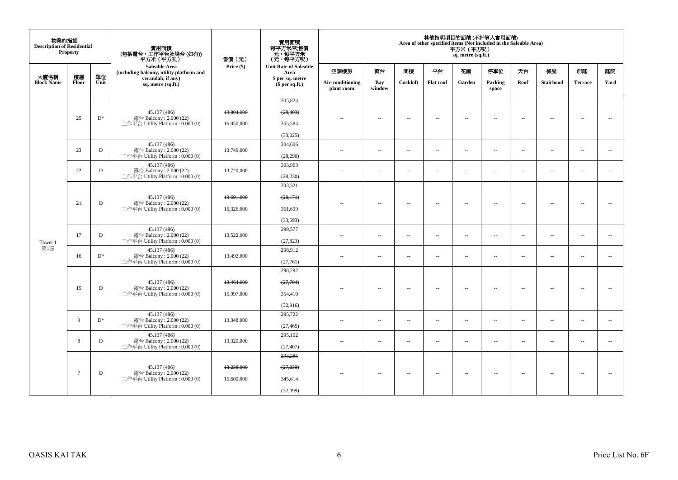| 物業的描述<br><b>Description of Residential</b> | <b>Property</b> |                                                            | 實用面積<br>(包括露台,工作平台及陽台 (如有))<br>平方米(平方呎)                          | 售價(元)      | 實用面積<br>每平方米/呎售價<br>、元, 每平方米<br>(元, 每平方呎) |                                |                          |                          | Area of other specified items (Not included in the Saleable Area) | 平方米 (平方呎)<br>sq. metre (sq.ft.) | 其他指明項目的面積 (不計算入實用面積)     |                          |                          |                          |                          |
|--------------------------------------------|-----------------|------------------------------------------------------------|------------------------------------------------------------------|------------|-------------------------------------------|--------------------------------|--------------------------|--------------------------|-------------------------------------------------------------------|---------------------------------|--------------------------|--------------------------|--------------------------|--------------------------|--------------------------|
|                                            |                 |                                                            | <b>Saleable Area</b><br>(including balcony, utility platform and | Price (\$) | <b>Unit Rate of Saleable</b><br>Area      | 空調機房                           | 窗台                       | 閣樓                       | 平台                                                                | 花園                              | 停車位                      | 天台                       | 梯屋                       | 前庭                       | 庭院                       |
| 大廈名稱<br><b>Block Name</b>                  | 樓層<br>Floor     | 單位<br>Unit                                                 | verandah, if any)<br>sq. metre (sq.ft.)                          |            | \$ per sq. metre<br>\$per sq.ft.)         | Air-conditioning<br>plant room | Bay<br>window            | Cockloft                 | <b>Flat roof</b>                                                  | Garden                          | Parking<br>space         | Roof                     | Stairhood                | <b>Terrace</b>           | Yard                     |
|                                            |                 |                                                            |                                                                  |            | 305.824                                   |                                |                          |                          |                                                                   |                                 |                          |                          |                          |                          |                          |
|                                            | 25              | $D^*$                                                      | 45.137 (486)<br>露台 Balcony: 2.000 (22)                           | 13,804,000 | (28, 403)                                 | ٠.                             | $\overline{\phantom{a}}$ | $\sim$                   | $\sim$                                                            | $\sim$                          | $\sim$                   | $\overline{\phantom{a}}$ | $\sim$                   | $\sim$                   | $\sim$                   |
|                                            |                 |                                                            | 工作平台 Utility Platform : $0.000(0)$                               | 16,050,000 | 355,584                                   |                                |                          |                          |                                                                   |                                 |                          |                          |                          |                          |                          |
|                                            |                 |                                                            |                                                                  |            | (33,025)                                  |                                |                          |                          |                                                                   |                                 |                          |                          |                          |                          |                          |
|                                            | 23              | D                                                          | 45,137 (486)<br>露台 Balcony: 2.000 (22)                           | 13,749,000 | 304,606                                   | $\overline{\phantom{a}}$       | $\sim$                   | $\sim$                   | $\overline{\phantom{a}}$                                          | μ.                              | $\overline{\phantom{a}}$ | $\overline{\phantom{a}}$ | $\overline{\phantom{a}}$ | $\overline{\phantom{a}}$ | $\overline{\phantom{a}}$ |
|                                            |                 |                                                            | 工作平台 Utility Platform : $0.000(0)$                               |            | (28, 290)                                 |                                |                          |                          |                                                                   |                                 |                          |                          |                          |                          |                          |
|                                            | 22              | D                                                          | 45.137 (486)<br>露台 Balcony: 2.000 (22)                           | 13,720,000 | 303,963                                   | $\sim$ $-$                     | $\sim$                   | $\sim$                   | $\overline{\phantom{a}}$                                          | μ.                              | $\overline{\phantom{a}}$ | $\overline{\phantom{a}}$ | $\overline{\phantom{a}}$ | $\overline{\phantom{a}}$ | $\overline{\phantom{a}}$ |
|                                            |                 |                                                            | 工作平台 Utility Platform : $0.000(0)$                               |            | (28, 230)                                 |                                |                          |                          |                                                                   |                                 |                          |                          |                          |                          |                          |
|                                            |                 |                                                            |                                                                  |            | 303,321                                   |                                |                          |                          |                                                                   |                                 |                          |                          |                          |                          |                          |
|                                            | D<br>21         |                                                            | 45.137 (486)<br>露台 Balcony: 2.000 (22)                           | 13,691,000 | (28, 171)                                 |                                | $\overline{\phantom{a}}$ | $\sim$                   | $\sim$                                                            | $\sim$                          | $\sim$                   | $\overline{\phantom{a}}$ | $\overline{\phantom{a}}$ | $\sim$                   | $\sim$                   |
|                                            |                 |                                                            | 工作平台 Utility Platform: 0.000 (0)                                 | 16,326,000 | 361,699                                   |                                |                          |                          |                                                                   |                                 |                          |                          |                          |                          |                          |
|                                            |                 |                                                            |                                                                  |            | (33, 593)                                 |                                |                          |                          |                                                                   |                                 |                          |                          |                          |                          |                          |
|                                            |                 |                                                            | 45.137 (486)                                                     |            | 299,577                                   |                                |                          |                          |                                                                   |                                 |                          |                          |                          |                          |                          |
| Tower 1                                    | 17              | D                                                          | 露台 Balcony: 2.000 (22)<br>工作平台 Utility Platform : $0.000(0)$     | 13,522,000 | (27, 823)                                 | $\sim$                         | $\sim$                   | $\sim$                   | $\sim$                                                            | $\sim$                          | $\sim$                   | $\overline{\phantom{a}}$ | $\sim$                   | $\sim$                   | $\sim$                   |
| 第1座                                        | 16              | $D^*$                                                      | 45.137 (486)<br>露台 Balcony: 2.000 (22)                           | 13,492,000 | 298,912                                   | $\sim$ $\sim$                  | $\sim$                   | $\sim$                   | $\sim$                                                            | $\sim$                          | $\sim$                   | $\overline{\phantom{a}}$ | $\sim$                   | $\sim$                   | $\overline{\phantom{a}}$ |
|                                            |                 |                                                            | 工作平台 Utility Platform: 0.000 (0)                                 |            | (27,761)                                  |                                |                          |                          |                                                                   |                                 |                          |                          |                          |                          |                          |
|                                            |                 |                                                            |                                                                  |            | 298,292                                   |                                |                          |                          |                                                                   |                                 |                          |                          |                          |                          |                          |
|                                            |                 |                                                            | 45.137 (486)                                                     | 13,464,000 | (27,704)                                  |                                |                          |                          |                                                                   |                                 |                          |                          |                          |                          |                          |
|                                            | 15              | D                                                          | 露台 Balcony: 2.000 (22)<br>工作平台 Utility Platform : $0.000(0)$     | 15,997,000 | 354,410                                   |                                | $\overline{a}$           | $\sim$                   | $\sim$                                                            | $\sim$                          | $\sim$                   | $\sim$                   | $\sim$                   | $\sim$                   | $\sim$                   |
|                                            |                 |                                                            |                                                                  |            | (32,916)                                  |                                |                          |                          |                                                                   |                                 |                          |                          |                          |                          |                          |
|                                            |                 |                                                            | 45.137 (486)                                                     |            | 295,722                                   |                                |                          |                          |                                                                   |                                 |                          |                          |                          |                          |                          |
|                                            | 9               | $D^*$                                                      | 露台 Balcony: 2.000 (22)<br>工作平台 Utility Platform: 0.000 (0)       | 13,348,000 | (27, 465)                                 | $\sim$                         | $\overline{\phantom{a}}$ | $\sim$                   | $\overline{\phantom{a}}$                                          | $\overline{\phantom{a}}$        | $\overline{\phantom{a}}$ | $\overline{\phantom{a}}$ | $\overline{\phantom{a}}$ | $\overline{\phantom{a}}$ | $\overline{\phantom{a}}$ |
|                                            | 8               | D                                                          | 45.137 (486)<br>露台 Balcony: 2.000 (22)                           | 13,320,000 | 295.102                                   |                                |                          |                          |                                                                   |                                 |                          |                          |                          |                          |                          |
|                                            |                 |                                                            | 工作平台 Utility Platform : $0.000(0)$                               |            | (27, 407)                                 | $\sim$                         | $\overline{\phantom{a}}$ | $\sim$                   | $\overline{\phantom{a}}$                                          | $\overline{\phantom{a}}$        | $\overline{\phantom{a}}$ | $\overline{\phantom{a}}$ | $\sim$                   | $\overline{\phantom{a}}$ | $\overline{\phantom{a}}$ |
|                                            |                 |                                                            |                                                                  |            | 293,285                                   |                                |                          |                          |                                                                   |                                 |                          |                          |                          |                          |                          |
|                                            |                 |                                                            | 45.137 (486)                                                     | 13,238,000 | $- (27, 239)$                             |                                |                          |                          |                                                                   |                                 |                          |                          |                          |                          |                          |
| $7\phantom{.0}$                            | D               | 露台 Balcony: 2.000 (22)<br>工作平台 Utility Platform: 0.000 (0) | 15,600,000                                                       | 345,614    | $-$                                       | $\overline{\phantom{a}}$       | $\sim$                   | $\overline{\phantom{a}}$ | $\sim$                                                            | $\sim$                          | $\sim$                   | $\overline{\phantom{a}}$ | $\overline{\phantom{a}}$ |                          |                          |
|                                            |                 |                                                            |                                                                  |            | (32,099)                                  |                                |                          |                          |                                                                   |                                 |                          |                          |                          |                          |                          |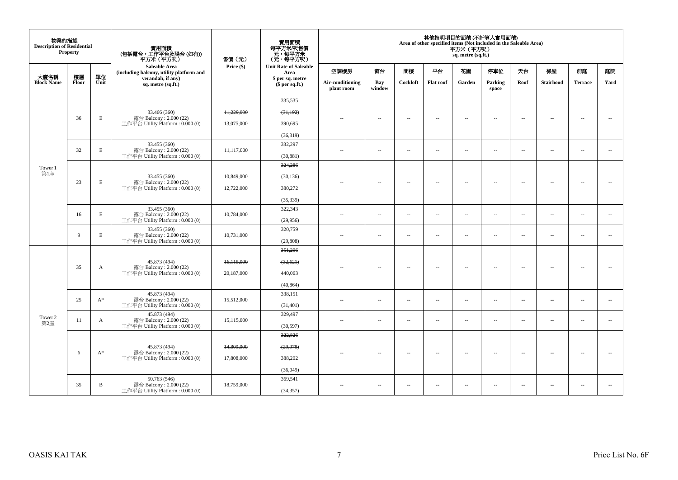| 物業的描述<br><b>Description of Residential</b> | <b>Property</b> |            | 實用面積<br>(包括露台,工作平台及陽台 (如有))<br>平方米(平方呎)                          | 售價 (元)       | 實用面積<br>每平方米/呎售價<br>元,每平方米<br>(元,每平方呎) |                                |                          |                          |                          | 平方米 (平方呎)<br>sq. metre (sq.ft.) | 其他指明項目的面積 (不計算入實用面積)<br>Area of other specified items (Not included in the Saleable Area) |                          |                          |                          |                          |
|--------------------------------------------|-----------------|------------|------------------------------------------------------------------|--------------|----------------------------------------|--------------------------------|--------------------------|--------------------------|--------------------------|---------------------------------|-------------------------------------------------------------------------------------------|--------------------------|--------------------------|--------------------------|--------------------------|
|                                            |                 |            | <b>Saleable Area</b><br>(including balcony, utility platform and | Price $(\$)$ | <b>Unit Rate of Saleable</b><br>Area   | 空調機房                           | 窗台                       | 閣樓                       | 平台                       | 花園                              | 停車位                                                                                       | 天台                       | 梯屋                       | 前庭                       | 庭院                       |
| 大廈名稱<br><b>Block Name</b>                  | 樓層<br>Floor     | 單位<br>Unit | verandah, if any)<br>sq. metre (sq.ft.)                          |              | \$ per sq. metre<br>$$$ per sq.ft.)    | Air-conditioning<br>plant room | Bay<br>window            | Cockloft                 | <b>Flat roof</b>         | Garden                          | Parking<br>space                                                                          | Roof                     | Stairhood                | <b>Terrace</b>           | Yard                     |
|                                            |                 |            |                                                                  |              | 335, 535                               |                                |                          |                          |                          |                                 |                                                                                           |                          |                          |                          |                          |
|                                            |                 |            | 33.466 (360)                                                     | 11,229,000   | (31, 192)                              |                                |                          |                          |                          |                                 |                                                                                           |                          |                          |                          |                          |
|                                            | 36              | E          | 露台 Balcony: 2.000 (22)<br>工作平台 Utility Platform: 0.000 (0)       | 13,075,000   | 390,695                                | $\sim$                         | $\overline{\phantom{a}}$ | $\overline{\phantom{a}}$ | $\sim$                   | $\overline{\phantom{a}}$        | $\overline{\phantom{a}}$                                                                  | $\overline{\phantom{a}}$ | $\overline{\phantom{a}}$ | $\overline{\phantom{a}}$ | $\overline{\phantom{a}}$ |
|                                            |                 |            |                                                                  |              | (36,319)                               |                                |                          |                          |                          |                                 |                                                                                           |                          |                          |                          |                          |
|                                            |                 |            | 33.455 (360)                                                     |              | 332,297                                |                                |                          |                          |                          |                                 |                                                                                           |                          |                          |                          |                          |
|                                            | 32              | E          | 露台 Balcony: 2.000 (22)<br>工作平台 Utility Platform: 0.000 (0)       | 11.117.000   | (30, 881)                              | $\sim$                         | $\overline{\phantom{a}}$ | $\overline{a}$           | $\sim$                   | $\sim$                          | $\sim$                                                                                    | $\overline{\phantom{a}}$ | $\overline{\phantom{a}}$ | $\overline{\phantom{a}}$ | $\sim$                   |
| Tower 1                                    |                 |            |                                                                  |              | 324,286                                |                                |                          |                          |                          |                                 |                                                                                           |                          |                          |                          |                          |
| 第1座                                        |                 |            | 33.455 (360)                                                     | 10,849,000   | (30, 136)                              |                                |                          |                          |                          |                                 |                                                                                           |                          |                          |                          |                          |
|                                            | 23              | E          | 露台 Balcony: 2.000 (22)<br>工作平台 Utility Platform: 0.000 (0)       | 12,722,000   | 380,272                                | $-$                            | $\sim$                   | $\sim$                   | $\sim$                   | $\overline{\phantom{a}}$        | $\sim$                                                                                    | $\overline{\phantom{a}}$ | $\sim$                   | $\sim$                   | $\sim$                   |
|                                            |                 |            |                                                                  |              | (35, 339)                              |                                |                          |                          |                          |                                 |                                                                                           |                          |                          |                          |                          |
|                                            | 16              | E          | 33.455 (360)<br>露台 Balcony: 2.000 (22)                           | 10,784,000   | 322,343                                |                                |                          |                          |                          |                                 |                                                                                           |                          |                          |                          |                          |
|                                            |                 |            | 工作平台 Utility Platform: 0.000 (0)                                 |              | (29,956)                               | $\sim$ $-$                     | $\overline{\phantom{a}}$ | $\sim$                   | $\overline{\phantom{a}}$ | $\overline{\phantom{a}}$        | $\overline{\phantom{a}}$                                                                  | $\sim$                   | $\overline{\phantom{a}}$ | $\sim$                   | $\sim$                   |
|                                            | $\overline{9}$  | E          | 33.455 (360)<br>露台 Balcony: 2.000 (22)                           | 10,731,000   | 320,759                                | $\sim$                         | $\sim$                   | $\overline{a}$           | $\sim$                   | $\overline{\phantom{a}}$        | $\sim$                                                                                    | $\overline{\phantom{a}}$ | $\sim$                   | $\sim$                   | $\sim$                   |
|                                            |                 |            | 工作平台 Utility Platform: 0.000 (0)                                 |              | (29, 808)                              |                                |                          |                          |                          |                                 |                                                                                           |                          |                          |                          |                          |
|                                            |                 |            |                                                                  |              | 351,296                                |                                |                          |                          |                          |                                 |                                                                                           |                          |                          |                          |                          |
|                                            | 35              |            | 45.873 (494)<br>露台 Balcony: 2.000 (22)                           | 16,115,000   | (32, 621)                              |                                |                          | $\sim$                   |                          | $\sim$                          | $\sim$                                                                                    | $\overline{\phantom{a}}$ | $\overline{\phantom{a}}$ | $\sim$                   | $\sim$                   |
|                                            |                 | A          | 工作平台 Utility Platform: 0.000 (0)                                 | 20,187,000   | 440,063                                | $\sim$ $\sim$                  | $\sim$                   |                          | $\sim$                   |                                 |                                                                                           |                          |                          |                          |                          |
|                                            |                 |            |                                                                  |              | (40, 864)                              |                                |                          |                          |                          |                                 |                                                                                           |                          |                          |                          |                          |
|                                            | 25              | $A^*$      | 45.873 (494)<br>露台 Balcony: 2.000 (22)                           | 15,512,000   | 338,151                                | $\sim$ $\sim$                  | $\sim$                   | $\sim$                   | $\sim$                   | $\overline{a}$                  | $\sim$                                                                                    | $\sim$                   | $\sim$                   | $\sim$                   | $\sim$                   |
|                                            |                 |            | 工作平台 Utility Platform: 0.000 (0)                                 |              | (31, 401)                              |                                |                          |                          |                          |                                 |                                                                                           |                          |                          |                          |                          |
| Tower 2                                    | 11              | A          | 45.873 (494)<br>露台 Balcony: 2.000 (22)                           | 15,115,000   | 329,497                                | $\sim$ $\sim$                  | $\sim$                   | $\sim$                   | $\sim$                   | $\sim$                          | $\sim$                                                                                    | $\overline{\phantom{a}}$ | $\sim$                   | $\sim$                   | $\overline{\phantom{a}}$ |
| 第2座                                        |                 |            | 工作平台 Utility Platform: 0.000 (0)                                 |              | (30,597)                               |                                |                          |                          |                          |                                 |                                                                                           |                          |                          |                          |                          |
|                                            |                 |            |                                                                  |              | 322,826                                |                                |                          |                          |                          |                                 |                                                                                           |                          |                          |                          |                          |
|                                            | 6               | $A^*$      | 45.873 (494)<br>露台 Balcony: 2.000 (22)                           | 14,809,000   | (29, 978)                              | $-$                            | $\overline{\phantom{a}}$ | $\sim$                   | $\overline{\phantom{a}}$ | $\overline{\phantom{a}}$        | $\sim$                                                                                    | $\sim$                   | $\overline{\phantom{a}}$ | $\sim$                   | $\sim$                   |
|                                            |                 |            | 工作平台 Utility Platform: 0.000 (0)                                 | 17,808,000   | 388,202                                |                                |                          |                          |                          |                                 |                                                                                           |                          |                          |                          |                          |
|                                            |                 |            |                                                                  |              | (36,049)                               |                                |                          |                          |                          |                                 |                                                                                           |                          |                          |                          |                          |
|                                            | 35              | B          | 50.763 (546)<br>露台 Balcony: 2.000 (22)                           | 18,759,000   | 369,541                                | $\sim$                         | $\overline{\phantom{a}}$ | $\overline{\phantom{a}}$ | $\sim$                   | $\overline{\phantom{a}}$        | $\sim$                                                                                    | $\overline{\phantom{a}}$ | $\overline{\phantom{a}}$ | $\overline{\phantom{a}}$ | $\sim$                   |
|                                            |                 |            | 工作平台 Utility Platform: 0.000 (0)                                 |              | (34, 357)                              |                                |                          |                          |                          |                                 |                                                                                           |                          |                          |                          |                          |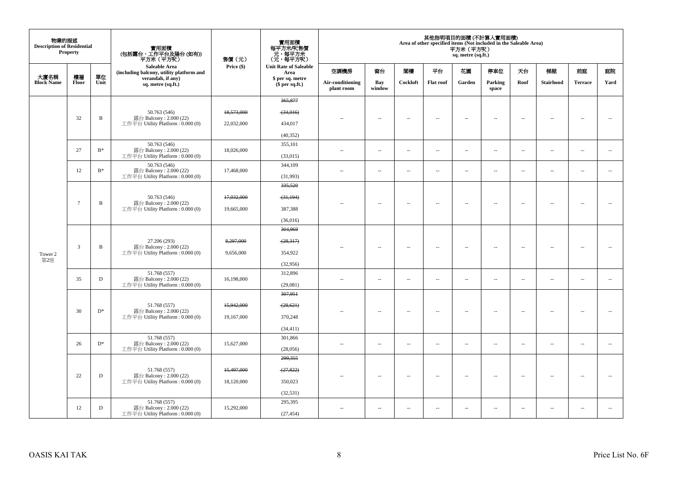| 物業的描述<br><b>Description of Residential</b> | <b>Property</b> |                                        | 實用面積<br>(包括露台,工作平台及陽台(如有))<br>平赤米(平方呎)                           | 售價(元)      | 實用面積<br>每平方米/呎售價<br>元,每平方米<br>(元,每平方呎) |                                |                          |                          |                          | 平方米 (平方呎)<br>sq. metre (sq.ft.) | 其他指明項目的面積(不計算入實用面積)<br>Area of other specified items (Not included in the Saleable Area) |                          |                          |                          |                          |
|--------------------------------------------|-----------------|----------------------------------------|------------------------------------------------------------------|------------|----------------------------------------|--------------------------------|--------------------------|--------------------------|--------------------------|---------------------------------|------------------------------------------------------------------------------------------|--------------------------|--------------------------|--------------------------|--------------------------|
|                                            |                 |                                        | <b>Saleable Area</b><br>(including balcony, utility platform and | Price (\$) | <b>Unit Rate of Saleable</b><br>Area   | 空調機房                           | 窗台                       | 閣樓                       | 平台                       | 花園                              | 停車位                                                                                      | 天台                       | 梯屋                       | 前庭                       | 庭院                       |
| 大廈名稱<br><b>Block Name</b>                  | 樓層<br>Floor     | 單位<br>Unit                             | verandah, if any)<br>sq. metre (sq.ft.)                          |            | \$ per sq. metre<br>\$per sq.ft.)      | Air-conditioning<br>plant room | Bay<br>window            | Cockloft                 | <b>Flat roof</b>         | Garden                          | Parking<br>space                                                                         | Roof                     | Stairhood                | <b>Terrace</b>           | Yard                     |
|                                            |                 |                                        |                                                                  |            | 365,877                                |                                |                          |                          |                          |                                 |                                                                                          |                          |                          |                          |                          |
|                                            |                 |                                        | 50.763 (546)                                                     | 18,573,000 | (34,016)                               |                                |                          |                          |                          |                                 |                                                                                          |                          |                          |                          |                          |
|                                            | 32              | $\mathbf B$                            | 露台 Balcony: 2.000 (22)<br>工作平台 Utility Platform : $0.000(0)$     | 22,032,000 | 434,017                                |                                | $\overline{\phantom{a}}$ | $\overline{\phantom{a}}$ | $\sim$                   | μ.                              | $\sim$                                                                                   | $\overline{\phantom{a}}$ | $\sim$                   | $\sim$                   | $\sim$                   |
|                                            |                 |                                        |                                                                  |            | (40, 352)                              |                                |                          |                          |                          |                                 |                                                                                          |                          |                          |                          |                          |
|                                            | 27              | $B^*$                                  | 50.763 (546)<br>露台 Balcony: 2.000 (22)                           | 18,026,000 | 355,101                                | $\sim$                         | $\overline{\phantom{a}}$ | $\sim$                   | $\sim$                   | $\overline{\phantom{a}}$        | $\sim$                                                                                   | $\overline{\phantom{a}}$ | $\overline{\phantom{a}}$ | $\sim$                   | $\sim$                   |
|                                            |                 |                                        | 工作平台 Utility Platform: 0.000 (0)                                 |            | (33,015)                               |                                |                          |                          |                          |                                 |                                                                                          |                          |                          |                          |                          |
|                                            | 12              | $\mathrm{B}^*$                         | 50.763 (546)<br>露台 Balcony: 2.000 (22)                           | 17,468,000 | 344,109                                | ÷.                             | $\overline{\phantom{a}}$ | $\sim$                   | $\sim$                   | $\overline{\phantom{a}}$        | $\sim$                                                                                   | $\overline{\phantom{a}}$ | $\overline{\phantom{a}}$ | $\sim$                   | $\sim$                   |
|                                            |                 |                                        | 工作平台 Utility Platform: 0.000 (0)                                 |            | (31,993)                               |                                |                          |                          |                          |                                 |                                                                                          |                          |                          |                          |                          |
|                                            |                 |                                        |                                                                  |            | 335.520                                |                                |                          |                          |                          |                                 |                                                                                          |                          |                          |                          |                          |
|                                            | $\tau$<br>B     |                                        | 50.763 (546)<br>露台 Balcony: 2.000 (22)                           | 17,032,000 | (31, 194)                              | $\overline{a}$                 | $\sim$                   | $\sim$                   | $\sim$                   | $\overline{a}$                  | $\sim$                                                                                   | $\overline{\phantom{a}}$ | $\sim$                   | $\sim$                   | $\sim$                   |
|                                            |                 |                                        | 工作平台 Utility Platform: 0.000 (0)                                 | 19,665,000 | 387,388                                |                                |                          |                          |                          |                                 |                                                                                          |                          |                          |                          |                          |
|                                            |                 |                                        |                                                                  |            | (36,016)                               |                                |                          |                          |                          |                                 |                                                                                          |                          |                          |                          |                          |
|                                            |                 |                                        |                                                                  |            | 304,969                                |                                |                          |                          |                          |                                 |                                                                                          |                          |                          |                          |                          |
|                                            | $\mathfrak{Z}$  | $\, {\bf B}$                           | 27.206 (293)<br>露台 Balcony: 2.000 (22)                           | 8,297,000  | (28,317)                               |                                | μ.                       | $\sim$                   | $\sim$                   | μ.                              | $\sim$                                                                                   | $\overline{\phantom{a}}$ | ÷.                       |                          | ÷.                       |
| Tower 2<br>第2座                             |                 |                                        | 工作平台 Utility Platform: 0.000 (0)                                 | 9,656,000  | 354,922                                |                                |                          |                          |                          |                                 |                                                                                          |                          |                          |                          |                          |
|                                            |                 |                                        |                                                                  |            | (32,956)                               |                                |                          |                          |                          |                                 |                                                                                          |                          |                          |                          |                          |
|                                            | 35              | $\mathbf D$                            | 51.768 (557)<br>露台 Balcony: 2.000 (22)                           | 16,198,000 | 312,896                                | ÷.                             | --                       | $\sim$                   | $\overline{\phantom{a}}$ | $\overline{\phantom{a}}$        | $\sim$                                                                                   | $\overline{\phantom{a}}$ | $\overline{\phantom{a}}$ | $\sim$                   | $\overline{\phantom{a}}$ |
|                                            |                 |                                        | 工作平台 Utility Platform : 0.000 (0)                                |            | (29,081)<br>307,951                    |                                |                          |                          |                          |                                 |                                                                                          |                          |                          |                          |                          |
|                                            |                 |                                        |                                                                  |            |                                        |                                |                          |                          |                          |                                 |                                                                                          |                          |                          |                          |                          |
|                                            | 30              | $\mathbf{D}^*$                         | 51.768 (557)<br>露台 Balcony: 2.000 (22)                           | 15,942,000 | (28, 621)                              |                                | $\overline{\phantom{a}}$ | $\sim$                   | $\sim$                   | $\overline{\phantom{a}}$        | $\sim$                                                                                   | $\sim$                   | $\sim$                   | $\sim$                   | $\sim$                   |
|                                            |                 |                                        | 工作平台 Utility Platform: 0.000 (0)                                 | 19,167,000 | 370,248                                |                                |                          |                          |                          |                                 |                                                                                          |                          |                          |                          |                          |
|                                            |                 |                                        |                                                                  |            | (34, 411)                              |                                |                          |                          |                          |                                 |                                                                                          |                          |                          |                          |                          |
|                                            | $D^*$<br>26     |                                        | 51.768 (557)<br>露台 Balcony: 2.000 (22)                           | 15,627,000 | 301,866                                | $\overline{a}$                 | $\overline{\phantom{a}}$ | $\sim$                   | $\sim$                   | $\overline{\phantom{a}}$        | $\sim$                                                                                   | $\overline{\phantom{a}}$ | $\overline{\phantom{a}}$ | $\sim$                   | $\overline{\phantom{a}}$ |
|                                            |                 |                                        | 工作平台 Utility Platform: 0.000 (0)                                 |            | (28,056)<br>299,355                    |                                |                          |                          |                          |                                 |                                                                                          |                          |                          |                          |                          |
|                                            |                 |                                        |                                                                  | 15,497,000 |                                        |                                |                          |                          |                          |                                 |                                                                                          |                          |                          |                          |                          |
| 22                                         | $\mathbf D$     | 51.768 (557)<br>露台 Balcony: 2.000 (22) |                                                                  | (27, 822)  |                                        | $\overline{\phantom{a}}$       | $\overline{\phantom{a}}$ | $\overline{\phantom{a}}$ | $\overline{\phantom{a}}$ | $\sim$                          | $\overline{\phantom{a}}$                                                                 | $\overline{\phantom{a}}$ | $\overline{\phantom{a}}$ | $\sim$                   |                          |
|                                            |                 |                                        | 工作平台 Utility Platform : 0.000 (0)                                | 18,120,000 | 350,023                                |                                |                          |                          |                          |                                 |                                                                                          |                          |                          |                          |                          |
|                                            |                 |                                        | 51.768 (557)                                                     |            | (32, 531)<br>295,395                   |                                |                          |                          |                          |                                 |                                                                                          |                          |                          |                          |                          |
|                                            | 12              | D                                      | 露台 Balcony: 2.000 (22)<br>工作平台 Utility Platform: 0.000 (0)       | 15,292,000 | (27, 454)                              | $\sim$                         | $\overline{\phantom{a}}$ | $\overline{\phantom{a}}$ | $\overline{\phantom{a}}$ | $\sim$                          | $\overline{\phantom{a}}$                                                                 | $\overline{\phantom{a}}$ | $\overline{\phantom{a}}$ | $\overline{\phantom{a}}$ | $\sim$                   |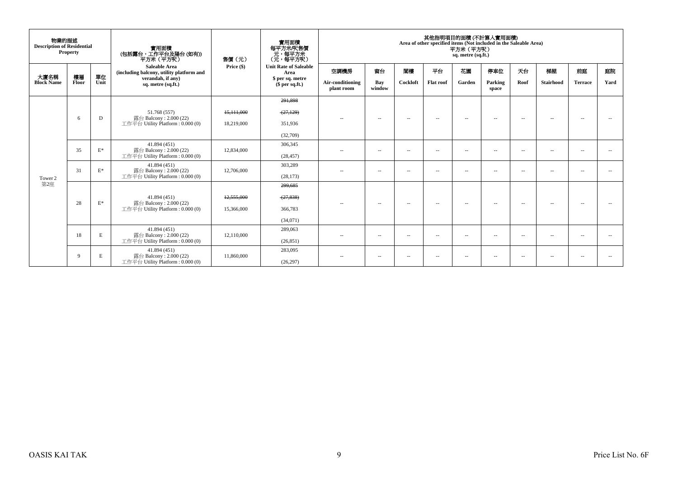| 物業的描述<br><b>Description of Residential</b> | <b>Property</b> |                | 實用面積<br>(包括露台, 工作平台及陽台(如有))<br>平方米 (平方呎)                         | 售價(元)      | <b>實用面積</b><br>每平方米/呎售價<br>- 元, 每平方米<br>(元, 每平方呎) |                                |                          |                          | 其他指明項目的面積 (不計算入實用面積)<br>Area of other specified items (Not included in the Saleable Area) | 平方米 (平方呎)<br>sq. metre (sq.ft.) |                  |                          |                  |                |                          |
|--------------------------------------------|-----------------|----------------|------------------------------------------------------------------|------------|---------------------------------------------------|--------------------------------|--------------------------|--------------------------|-------------------------------------------------------------------------------------------|---------------------------------|------------------|--------------------------|------------------|----------------|--------------------------|
| 大廈名稱                                       | 樓層              | 單位             | <b>Saleable Area</b><br>(including balcony, utility platform and | Price (\$) | <b>Unit Rate of Saleable</b><br>Area              | 空調機房                           | 窗台                       | 閣樓                       | 平台                                                                                        | 花園                              | 停車位              | 天台                       | 梯屋               | 前庭             | 庭院                       |
| <b>Block Name</b>                          | Floor           | Unit           | verandah, if any)<br>sq. metre (sq.ft.)                          |            | \$ per sq. metre<br>$$$ per sq.ft.)               | Air-conditioning<br>plant room | Bay<br>window            | Cockloft                 | <b>Flat roof</b>                                                                          | Garden                          | Parking<br>space | Roof                     | <b>Stairhood</b> | <b>Terrace</b> | Yard                     |
|                                            |                 |                |                                                                  |            | 291,898                                           |                                |                          |                          |                                                                                           |                                 |                  |                          |                  |                |                          |
|                                            |                 |                | 51.768 (557)                                                     | 15,111,000 | (27, 129)                                         |                                |                          |                          |                                                                                           |                                 |                  |                          |                  |                |                          |
|                                            | 6               | D              | 露台 Balcony: 2.000 (22)<br>工作平台 Utility Platform: 0.000 (0)       | 18,219,000 | 351,936                                           | $\sim$                         | $\overline{\phantom{a}}$ | $\sim$                   | $\overline{a}$                                                                            | $\sim$                          | $\sim$           | $\overline{\phantom{a}}$ | $\sim$           |                |                          |
|                                            |                 |                |                                                                  |            | (32,709)                                          |                                |                          |                          |                                                                                           |                                 |                  |                          |                  |                |                          |
|                                            | 35              | $\mathbf{E}^*$ | 41.894 (451)<br>露台 Balcony: 2.000 (22)                           | 12,834,000 | 306,345                                           | $\sim$                         | $\sim$                   | $-$                      | $\overline{a}$                                                                            | $\sim$                          | $\overline{a}$   | $\overline{\phantom{a}}$ | $ -$             | $\sim$         | $\sim$                   |
|                                            |                 |                | 工作平台 Utility Platform: 0.000 (0)                                 |            | (28, 457)                                         |                                |                          |                          |                                                                                           |                                 |                  |                          |                  |                |                          |
|                                            | 31              | $\mathbf{E}^*$ | 41.894 (451)<br>露台 Balcony: 2.000 (22)                           | 12,706,000 | 303,289                                           | $\sim$ $-$                     | $\sim$                   | $\sim$ $-$               | $\sim$                                                                                    | $\sim$                          | $\sim$ $-$       | $\sim$                   | $ -$             | $\sim$         |                          |
| Tower 2                                    |                 |                | 工作平台 Utility Platform: 0.000 (0)                                 |            | (28, 173)                                         |                                |                          |                          |                                                                                           |                                 |                  |                          |                  |                |                          |
| 第2座                                        |                 |                |                                                                  |            | 299,685                                           |                                |                          |                          |                                                                                           |                                 |                  |                          |                  |                |                          |
|                                            | 28              | $E^*$          | 41.894 (451)<br>露台 Balcony: 2.000 (22)                           | 12,555,000 | (27, 838)                                         | $\sim$ $-$                     | $\overline{\phantom{a}}$ | $\overline{\phantom{a}}$ | $\overline{\phantom{a}}$                                                                  | $\sim$                          | $\sim$           | $\sim$                   | $\sim$           | $\sim$         | $\overline{\phantom{a}}$ |
|                                            |                 |                | 工作平台 Utility Platform: 0.000 (0)                                 | 15,366,000 | 366,783                                           |                                |                          |                          |                                                                                           |                                 |                  |                          |                  |                |                          |
|                                            |                 |                |                                                                  |            | (34,071)                                          |                                |                          |                          |                                                                                           |                                 |                  |                          |                  |                |                          |
|                                            | 18              | E              | 41.894 (451)<br>露台 Balcony: 2.000 (22)                           | 12,110,000 | 289,063                                           | $\sim$ $-$                     | $\overline{\phantom{a}}$ | $\sim$ $-$               | $\sim$                                                                                    | $\sim$                          | $\sim$ $-$       | $\sim$                   | $ -$             | $\sim$         | $\sim$                   |
|                                            |                 |                | 工作平台 Utility Platform: 0.000 (0)                                 |            | (26, 851)                                         |                                |                          |                          |                                                                                           |                                 |                  |                          |                  |                |                          |
|                                            | 9               | E              | 41.894 (451)<br>露台 Balcony: 2.000 (22)                           | 11,860,000 | 283,095                                           | $- -$                          | $\sim$                   | $\overline{\phantom{a}}$ | $\sim$                                                                                    | $\sim$                          | $\sim$           | $\sim$                   | $ -$             | $\sim$         | $\sim$                   |
|                                            |                 |                | 工作平台 Utility Platform: 0.000 (0)                                 |            | (26, 297)                                         |                                |                          |                          |                                                                                           |                                 |                  |                          |                  |                |                          |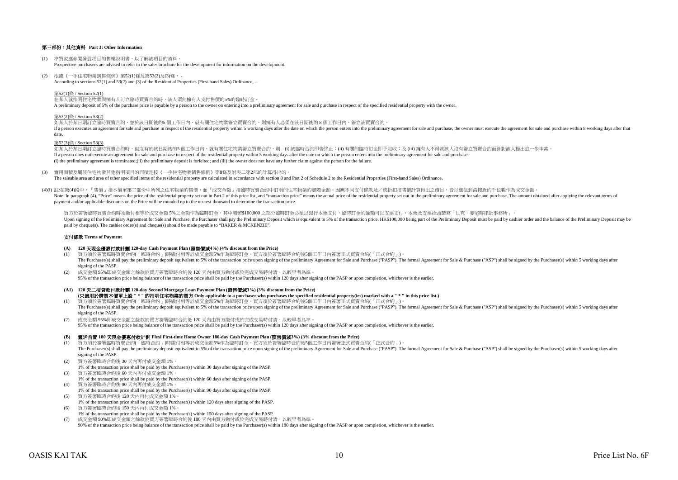### 第三部份:其他資料 **Part 3: Other Information**

- (1) 準買家應參閱發展項目的售樓說明書,以了解該項目的資料。 Prospective purchasers are advised to refer to the sales brochure for the development for information on the development.
- (2) 根據《一手住宅物業銷售條例》第52(1)條及第53(2)及(3)條, According to sections 52(1) and 53(2) and (3) of the Residential Properties (First-hand Sales) Ordinance, –

第52(1)條 / Section 52(1)

在某人就指明住宅物業與擁有人訂立臨時買賣合約時,該人須向擁有人支付售價的5%的臨時訂金。 A preliminary deposit of 5% of the purchase price is payable by a person to the owner on entering into a preliminary agreement for sale and purchase in respect of the specified residential property with the owner.

#### 第53(2)條 / Section 53(2)

如某人於某日期訂立臨時買賣合約,並於該日期後的5 個工作日內,就有關住宅物業簽立買賣合約,則擁有人必須在該日期後的 8 個工作日内,簽立該買賣合約。 If a person executes an agreement for sale and purchase in respect of the residential property within 5 working days after the date on which the person enters into the preliminary agreement for sale and purchase, the owner date.

#### 第53(3)條 / Section 53(3)

如某人於某日期訂立臨時買賣合約時,但沒有於該日期後的5 個工作日內,就有關住宅物業簽立買賣合約,則 – (i) 該臨時合約即告終止;(ii) 有關的臨時訂金即予沒收;及 (iii) 擁有人不得就該人沒有簽立買賣合約而針對該人提出進一步申索。 If a person does not execute an agreement for sale and purchase in respect of the residential property within 5 working days after the date on which the person enters into the preliminary agreement for sale and purchase-(i) the preliminary agreement is terminated;(ii) the preliminary deposit is forfeited; and (iii) the owner does not have any further claim against the person for the failure.

(3) 實用面積及屬該住宅物業其他指明項目的面積是按《一手住宅物業銷售條例》第8條及附表二第2部的計算得出的。

The saleable area and area of other specified items of the residential property are calculated in accordance with section 8 and Part 2 of Schedule 2 to the Residential Properties (First-hand Sales) Ordinance.

(4)(i) 註:在第(4)段中,『售價』指本價單第二部份中所列之住宅物業的售價,而『成交金額』指臨時買賣合約中訂明的住宅物業的實際金額。因應不同支付條款及/或折扣按售價計算得出之價目,皆以進位到最接近的千位數作為成交金額。  $\frac{1}{2}$ payment and/or applicable discounts on the Price will be rounded up to the nearest thousand to determine the transaction price.

買方於簽署臨時買賣合約時須繳付相等於成交金額 5%之金額作為臨時訂金,其中港幣\$100,000 之部分臨時訂金必須以銀行本票支付,臨時訂金的餘額可以支票支付,本票及支票抬頭請寫「貝克.麥堅時律師事務所」。 Upon signing of the Preliminary Agreement for Sale and Purchase, the Purchaser shall pay the Preliminary Deposit which is equivalent to 5% of the transaction price. HK\$100,000 being part of the Preliminary Deposit must be paid by cheque(s). The cashier order(s) and cheque(s) should be made payable to "BAKER & MCKENZIE".

#### 支付條款 **Terms of Payment**

- **(A) 120** 天現金優惠付款計劃 **120-day Cash Payment Plan (**照售價減**4%) (4% discount from the Price)**
- (1) 買方須於簽署臨時買賣合約(「臨時合約」)時繳付相等於成交金額5%作為臨時訂金。買方須於簽署臨時合約後5個工作日內簽署正式買賣合約(「正式合約」)。 The Purchaser(s) shall pay the preliminary deposit equivalent to 5% of the transaction price upon signing of the preliminary Agreement for Sale and Purchase ("PASP"). The formal Agreement for Sale & Purchase ("ASP") shall signing of the PASE
- (2) 成交金額 95%即成交金額之餘款於買方簽署臨時合約後 120 天內由買方繳付或於完成交易時付清,以較早者為準。 95% of the transaction price being balance of the transaction price shall be paid by the Purchaser(s) within 120 days after signing of the PASP or upon completion, whichever is the earlier.
- **(A1) 120** 天二按貸款付款計劃 **120-day Second Mortgage Loan Payment Plan (**照售價減**3%) (3% discount from the Price)** (1) 買方須於簽署臨時買賣合約(「臨時合約」)時繳付相等於成交金額5%作為臨時訂金。買方須於簽署臨時合約後5個工作日內簽署正式買賣合約(「正式合約」)。 **(**只適用於購買本價單上設 **" \* "** 的指明住宅物業的買方 **Only applicable to a purchaser who purchases the specified residential property(ies) marked with a " \* " in this price list.)**

The Purchaser(s) shall pay the preliminary deposit equivalent to 5% of the transaction price upon signing of the preliminary Agreement for Sale and Purchase ("PASP"). The formal Agreement for Sale & Purchase ("ASP") shall signing of the PASP.

(2) 成交金額 95%即成交金額之餘款於買方簽署臨時合約後 120 天內由買方繳付或於完成交易時付清,以較早者為準。 95% of the transaction price being balance of the transaction price shall be paid by the Purchaser(s) within 120 days after signing of the PASP or upon completion, whichever is the earlier.

#### **(B)** 靈活首置 **180** 天現金優惠付款計劃 **Flexi First-time Home Owner 180-day Cash Payment Plan (**照售價減**3%) (3% discount from the Price)**

(1) 買方須於簽署臨時買賣合約(「臨時合約」)時繳付相等於成交金額5%作為臨時訂金。買方須於簽署臨時合約後5個工作日內簽署正式買賣合約(「正式合約」)。 The Purchaser(s) shall pay the preliminary deposit equivalent to 5% of the transaction price upon signing of the preliminary Agreement for Sale and Purchase ("PASP"). The formal Agreement for Sale & Purchase ("ASP") shall signing of the PASP.

- (2) 買方簽署臨時合約後 30 天內再付成交金額 1%。 1% of the transaction price shall be paid by the Purchaser(s) within 30 days after signing of the PASP.
- (3) 買方簽署臨時合約後 60 天內再付成交金額 1%。
- 1% of the transaction price shall be paid by the Purchaser(s) within 60 days after signing of the PASP.
- (4) 買方簽署臨時合約後 90 天內再付成交金額 1%。
- 1% of the transaction price shall be paid by the Purchaser(s) within 90 days after signing of the PASP.
- (5) 買方簽署臨時合約後 120 天內再付成交金額 1%。
- 1% of the transaction price shall be paid by the Purchaser(s) within 120 days after signing of the PASP. (6) 買方簽署臨時合約後 150 天內再付成交金額 1%。
- 1% of the transaction price shall be paid by the Purchaser(s) within 150 days after signing of the PASP.
- (7) 成交金額 90%即成交金額之餘款於買方簽署臨時合約後 180 天內由買方繳付或於完成交易時付清,以較早者為準。
- 90% of the transaction price being balance of the transaction price shall be paid by the Purchaser(s) within 180 days after signing of the PASP or upon completion, whichever is the earlier.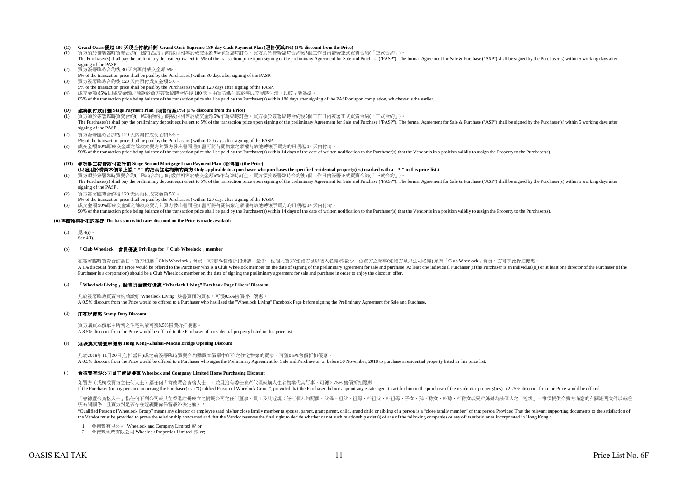# **(C) Grand Oasis** 優越 **180** 天現金付款計劃 **Grand Oasis Supreme 180-day Cash Payment Plan (**照售價減**3%) (3% discount from the Price)**

- 買方須於簽署臨時買賣合約(「臨時合約」)時繳付相等於成交金額5%作為臨時訂金。買方須於簽署臨時合約後5個工作日内簽署正式買賣合約(「正式合約」)。 The Purchaser(s) shall pay the preliminary deposit equivalent to 5% of the transaction price upon signing of the preliminary Agreement for Sale and Purchase ("PASP"). The formal Agreement for Sale & Purchase ("ASP") shall signing of the PASP.
- (2) 買方簽署臨時合約後 30 天內再付成交金額 5%。
- 5% of the transaction price shall be paid by the Purchaser(s) within 30 days after signing of the PASP.
- (3) 買方簽署臨時合約後 120 天內再付成交金額 5%。 5% of the transaction price shall be paid by the Purchaser(s) within 120 days after signing of the PASP.
- (4) 成交金額 85% 即成交金額之餘款於買方簽署臨時合約後 180 天內由買方繳付或於完成交易時付清,以較早者為準。
- 85% of the transaction price being balance of the transaction price shall be paid by the Purchaser(s) within 180 days after signing of the PASP or upon completion, whichever is the earlier.

# **(D)** 建築期付款計劃 **Stage Payment Plan (**照售價減**1%) (1% discount from the Price)**

- (1) 買方須於簽署臨時買賣合約(「臨時合約」)時繳付相等於成交金額5%作為臨時訂金。買方須於簽署臨時合約後5個工作日內簽署正式買賣合約(「正式合約」)。 The Purchaser(s) shall pay the preliminary deposit equivalent to 5% of the transaction price upon signing of the preliminary Agreement for Sale and Purchase ("PASP"). The formal Agreement for Sale & Purchase ("ASP") shall signing of the PASP.
- (2) 買方簽署臨時合約後 120 天內再付成交金額 5%。
- 5% of the transaction price shall be paid by the Purchaser(s) within 120 days after signing of the PASP.
- (3) 成交金額 90%即成交金額之餘款於賣方向買方發出書面通知書可將有關物業之業權有效地轉讓予買方的日期起 14 天內付清。
- 90% of the transaction price being balance of the transaction price shall be paid by the Purchaser(s) within 14 days of the date of written notification to the Purchaser(s) that the Vendor is in a position validly to assig

#### **(D1)** 建築期二按貸款付款計劃 **Stage Second Mortgage Loan Payment Plan (**照售價**) (the Price) (**只適用於購買本價單上設 **" \* "** 的指明住宅物業的買方 **Only applicable to a purchaser who purchases the specified residential property(ies) marked with a " \* " in this price list.)**

- (1) 買方須於簽署臨時買賣合約(「臨時合約」)時繳付相等於成交金額5%作為臨時訂金。買方須於簽署臨時合約後5個工作日內簽署正式買賣合約(「正式合約」)。 The Purchaser(s) shall pay the preliminary deposit equivalent to 5% of the transaction price upon signing of the preliminary Agreement for Sale and Purchase ("PASP"). The formal Agreement for Sale & Purchase ("ASP") shall signing of the PASP.
- (2) 買方簽署臨時合約後 120 天內再付成交金額 5%。
- 5% of the transaction price shall be paid by the Purchaser(s) within 120 days after signing of the PASP.
- (3) 成交金額 90%即成交金額之餘款於賣方向買方發出書面通知書可將有關物業之業權有效地轉讓予買方的日期起 14 天內付清。

90% of the transaction price being balance of the transaction price shall be paid by the Purchaser(s) within 14 days of the date of written notification to the Purchaser(s) that the Vendor is in a position validly to assig

#### **(ii)** 售價獲得折扣的基礎 **The basis on which any discount on the Price is made available**

- (a)  $\boxplus$  4(i)
- See 4(i).

#### (b) 「**Club Wheelock**」會員優惠 **Privilege for** 「**Club Wheelock**」**member**

在簽署臨時買賣合約當日,買方如屬「Club Wheelock」會員,可獲1%售價折扣優惠。最少一位個人冒方(如買方是以個人名義)或最少一位買方之董事(如買方是以公司名義) 須為「Club Wheelock」會員,方可享此折扣優惠。 A 1% discount from the Price would be offered to the Purchaser who is a Club Wheelock member on the date of signing of the preliminary agreement for sale and purchase. At least one individual Purchaser (if the Purchaser is Purchaser is a corporation) should be a Club Wheelock member on the date of signing the preliminary agreement for sale and purchase in order to enjoy the discount offer.

#### (c) 「**Wheelock Living**」 臉書頁面讚好優惠 **"Wheelock Living" Facebook Page Likers' Discount**

凡於簽署臨時買賣合約前讚好"Wheelock Living" 臉書頁面的買家,可獲0.5%售價折扣優惠。 A 0.5% discount from the Price would be offered to a Purchaser who has liked the "Wheelock Living" Facebook Page before signing the Preliminary Agreement for Sale and Purchase.

#### (d) 印花稅優惠 **Stamp Duty Discount**

買方購買本價單中所列之住宅物業可獲8.5%售價折扣優惠。 A 8.5% discount from the Price would be offered to the Purchaser of a residential property listed in this price list.

#### (e) 港珠澳大橋通車優惠 **Hong Kong–Zhuhai–Macau Bridge Opening Discount**

凡於2018年11月30日(包括當日)或之前簽署臨時買賣合約購買本價單中所列之住宅物業的買家,可獲0.5%售價折扣優惠。 A 0.5% discount from the Price would be offered to a Purchaser who signs the Preliminary Agreement for Sale and Purchase on or before 30 November, 2018 to purchase a residential property listed in this price list.

#### $(f)$ 會德豐有限公司員工置業優惠 **Wheelock and Company Limited Home Purchasing Discount**

如買方(或構成買方之任何人士)屬任何「會德豐合資格人士」,並且沒有委任地產代理就購入住宅物業代其行事,可獲 2.75% 售價折扣優惠。 If the Purchaser (or any person comprising the Purchaser) is a "Qualified Person of Wheelock Group", provided that the Purchaser did not appoint any estate agent to act for him in the purchase of the residential property(i

「會德豐合資格人士」指任何下列公司或其在香港註冊成立之附屬公司之任何董事、員工及其近親(任何個人的配偶、父母、祖父、祖母、外祖父、外祖母、子女、孫、孫女、外孫、外孫女或兄弟姊妹為該個人之「近親」,惟須提供令賣方滿意的有關證明文件以茲證 明有關關係,且賣方對是否存在近親關係保留最終決定權):

"Qualified Person of Wheelock Group" means any director or employee (and his/her close family member (a spouse, parent, grant parent, child, grand child or sibling of a person is a "close family member" of that person Prov the Vendor must be provided to prove the relationship concerned and that the Vendor reserves the final right to decide whether or not such relationship exists)) of any of the following companies or any of its subsidiaries

- 1. 會德豐有限公司 Wheelock and Company Limited 或 or;
- 2. 會德豐地產有限公司 Wheelock Properties Limited 或 or;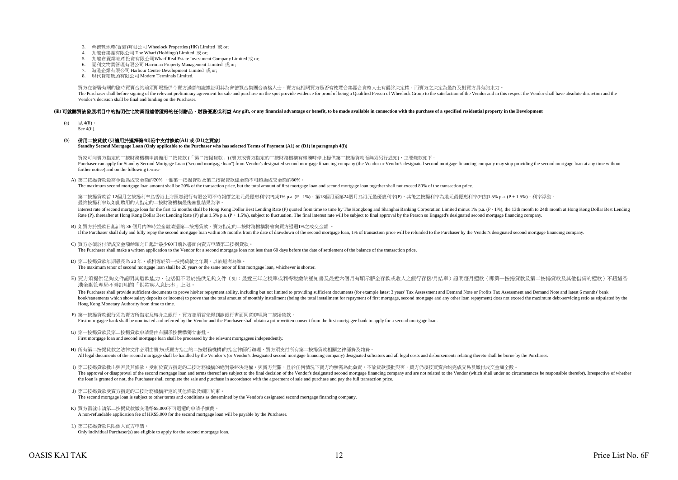- 3. 會德豐地產(香港)有限公司 Wheelock Properties (HK) Limited 或 or;
- 4. 九龍倉集團有限公司 The Wharf (Holdings) Limited 或 or;
- 5. 九龍倉置業地產投資有限公司Wharf Real Estate Investment Company Limited 或 or;
- 6. 夏利文物業管理有限公司 Harriman Property Management Limited 或 or;
- 7. 海港企業有限公司 Harbour Centre Development Limited 或 or;
- 8. 現代貨箱碼頭有限公司 Modern Terminals Limited.

買方在簽署有關的臨時買賣合約前須即場提供令賣方滿意的證據証明其為會德豐合集團合資格人士,賣方就相關買方是否會德豐合集團合資格人士有最終決定權,而賣方之決定為最終及對買方具有約束力。 The Purchaser shall before signing of the relevant preliminary agreement for sale and purchase on the spot provide evidence for proof of being a Qualified Person of Wheelock Group to the satisfaction of the Vendor and in t Vendor's decision shall be final and binding on the Purchaser.

#### (iii) 可就識買該發展項目中的指明住宅物業而連帶獲得的任何贈品、財務優惠或利益 Any gift, or any financial advantage or benefit, to be made available in connection with the purchase of a specified residential property in the Development

- $(a) \qquad \exists 4(ii)$
- See 4(ii).

### (b) 備用二按貸款 **(**只適用於選擇第**4(i)**段中支付條款**(A1)** 或 **(D1)**之買家**)**

**Standby Second Mortgage Loan (Only applicable to the Purchaser who has selected Terms of Payment (A1) or (D1) in paragraph 4(i))**

買家可向賣方指定的二按財務機構申請備用二按貸款 (「第二按揭貨款」) (賣方或賣方指定的二按財務機構有權隨時停止提供第二按揭貨款而無須另行通知),主要條款如下 : Purchaser can apply for Standby Second Mottgage Loan ("second mottgage loan") from Vendor's designated second mottgage financing company (the Vendor or Vendor's designated second mortgage francing company may stop providin further notice) and on the following terms:-

A) 第二按揭貸款最高金額為成交金額的20% ,惟第一按揭貸款及第二按揭貸款總金額不可超過成交金額的80%。

The maximum second mortgage loan amount shall be 20% of the transaction price, but the total amount of first mortgage loan and second mortgage loan together shall not exceed 80% of the transaction price.

第二按揭貨款首 12個月之按揭利率為香港上海匯豐銀行有限公司不時報價之港元最優惠利率(P)減1% p.a. (P - 1%),第13個月至第24個月為港元最優惠利率(P),其後之按揭利率為港元最優惠利率(P)加1.5% p.a. (P + 1.5%),利率浮動。 最終按揭利率以如此聘用的人指定的二按財務機構最後審批結果為準。

Interest rate of second mortgage loan for the first 12 months shall be Hong Kong Dollar Best Lending Rate (P) quoted from time to time by The Hongkong and Shanghai Banking Corporation Limited minus 1% p.a. (P - 1%), the 13 Rate (P), thereafter at Hong Kong Dollar Best Lending Rate (P) plus 1.5% p.a. (P + 1.5%), subject to fluctuation. The final interest rate will be subject to final approval by the Person so Engaged's designated second mortg

- B) 如買方於提款日起計的 36 個月內準時並全數清還第二按揭貸款,賣方指定的二按財務機構將會向買方退還1%之成交金額 。 If the Purchaser shall duly and fully repay the second mortgage loan within 36 months from the date of drawdown of the second mortgage loan, 1% of transaction price will be refunded to the Purchaser by the Vendor's designa
- C) 買方必須於付清成交金額餘額之日起計最少60日前以書面向賣方申請第二按揭貸款。  $\sum_{i=1}^{n}$   $\sum_{i=1}^{n}$   $\sum_{i=1}^{n}$   $\sum_{i=1}^{n}$   $\sum_{i=1}^{n}$   $\sum_{i=1}^{n}$   $\sum_{i=1}^{n}$   $\sum_{i=1}^{n}$   $\sum_{i=1}^{n}$   $\sum_{i=1}^{n}$   $\sum_{i=1}^{n}$   $\sum_{i=1}^{n}$   $\sum_{i=1}^{n}$   $\sum_{i=1}^{n}$   $\sum_{i=1}^{n}$   $\sum_{i=1}^{n}$   $\sum_{i=1}^{n}$
- D) 第二按揭貸款年期最長為 20 年,或相等於第一按揭貸款之年期,以較短者為準。 The maximum tenor of second mortgage loan shall be 20 years or the same tenor of first mortgage loan, whichever is shorter.
- E) 買方須提供足夠文件證明其還款能力,包括但不限於提供足夠文件(如:最近三年之稅單或利得稅繳納通知書及最近六個月有顯示薪金存款或收入之銀行存摺/月結單)證明每月還款(即第一按揭貸款及第二按揭貸款及其他借貸的還款)不超過香 港金融管理局不時訂明的「供款與入息比率」上限。

The Purchaser shall provide sufficient documents to prove his/her repayment ability, including but not limited to providing sufficient documents (for example latest 3 years' Tax Assessment and Demand Note or Profits Tax As book/statements which show salary deposits or income) to prove that the total amount of monthly installment (being the total installment (being the total installment or repayment of first mortgage, second mortgage and any Hong Kong Monetary Authority from time to time.

- F) 第一按揭貸款銀行須為賣方所指定及轉介之銀行,買方並須首先得到該銀行書面同意辦理第二按揭貸款。 First mortgagee bank shall be nominated and referred by the Vendor and the Purchaser shall obtain a prior written consent from the first mortgagee bank to apply for a second mortgage loan.
- G) 第一按揭貸款及第二按揭貸款申請需由有關承按機構獨立審批。 First mortgage loan and second mortgage loan shall be processed by the relevant mortgagees independently.
- H) 所有第二按揭貸款之法律文件必須由賣方(或賣方指定的二按財務機構)的指定律師行辦理,買方須支付所有第二按揭貸款相關之律師費及雜費。 All legal documents of the second mortgage shall be handled by the Vendor's (or Vendor's designated second mortgage financing company) designated solicitors and all legal costs and disbursements relating thereto shall be b

I) 第二按揭貸款批出與否及其條款,受制於賣方指定的二按財務機構的絕對最終決定權,與賣方無關,且於任何情況下賣方均無需為此負責。不論貸款獲批與否,買方仍須按買賣合約完成交易及繳付成交金額全數。 The approval of disapproval of the second motivage loan and terms thereof are subject to the final decision of the Vendor's designated second motivage function of man way and are not related to the Vendor (which shall unde the loan is granted or not, the Purchaser shall complete the sale and purchase in accordance with the agreement of sale and purchase and pay the full transaction price.

- J) 第二按揭貨款受賣方指定的二按財務機構所定的其他條款及細則約束。 The second mortgage loan is subject to other terms and conditions as determined by the Vendor's designated second mortgage financing company.
- K) 買方需就申請第二按揭貸款繳交港幣\$5,000不可退還的申請手續費。 A non-refundable application fee of HK\$5,000 for the second mortgage loan will be payable by the Purchaser.
- L) 第二按揭貸款只限個人買方申請。 Only individual Purchaser(s) are eligible to apply for the second mortgage loan.